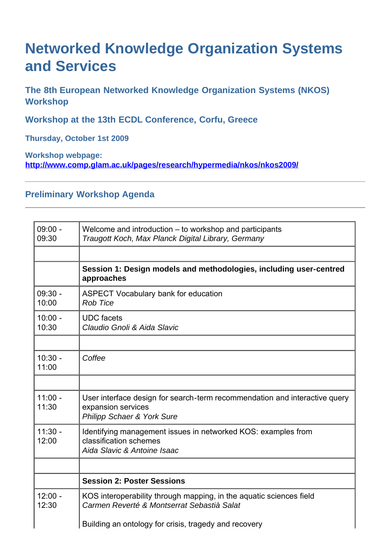## **Networked Knowledge Organization Systems and Services**

**The 8th European Networked Knowledge Organization Systems (NKOS) Workshop**

**Workshop at the 13th ECDL Conference, Corfu, Greece**

**Thursday, October 1st 2009**

**Workshop webpage: <http://www.comp.glam.ac.uk/pages/research/hypermedia/nkos/nkos2009/>**

## **Preliminary Workshop Agenda**

| $09:00 -$<br>09:30 | Welcome and introduction – to workshop and participants<br>Traugott Koch, Max Planck Digital Library, Germany                             |
|--------------------|-------------------------------------------------------------------------------------------------------------------------------------------|
|                    |                                                                                                                                           |
|                    | Session 1: Design models and methodologies, including user-centred<br>approaches                                                          |
| $09:30 -$<br>10:00 | <b>ASPECT Vocabulary bank for education</b><br><b>Rob Tice</b>                                                                            |
| $10:00 -$<br>10:30 | <b>UDC</b> facets<br>Claudio Gnoli & Aida Slavic                                                                                          |
| $10:30 -$<br>11:00 | Coffee                                                                                                                                    |
|                    |                                                                                                                                           |
| $11:00 -$<br>11:30 | User interface design for search-term recommendation and interactive query<br>expansion services<br><b>Philipp Schaer &amp; York Sure</b> |
| $11:30 -$<br>12:00 | Identifying management issues in networked KOS: examples from<br>classification schemes<br>Aida Slavic & Antoine Isaac                    |
|                    |                                                                                                                                           |
|                    | <b>Session 2: Poster Sessions</b>                                                                                                         |
| $12:00 -$<br>12:30 | KOS interoperability through mapping, in the aquatic sciences field<br>Carmen Reverté & Montserrat Sebastià Salat                         |
|                    | Building an ontology for crisis, tragedy and recovery                                                                                     |